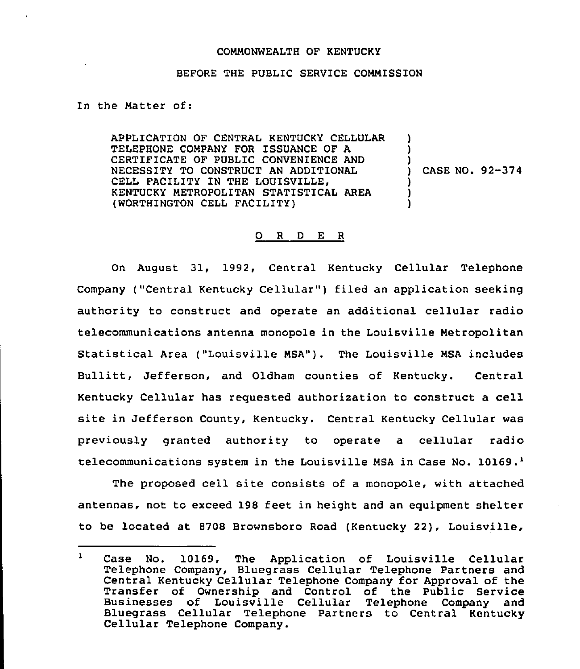## COMMONWEALTH OF KENTUCKY

## BEFORE THE PUBLIC SERVICE COMMISSION

## In the Matter of:

APPLICATION OF CENTRAL KENTUCKY CELLULAR TELEPHONE COMPANY FOR ISSUANCE OF A CERTIFICATE OF PUBLIC CONVENIENCE AND NECESSITY TO CONSTRUCT AN ADDITIONAL CELL FACILITY IN THE LOUISVILLE, KENTUCKY METROPOLITAN STATISTICAL AREA (WORTHINGTON CELL FACILITY) ) )  $\mathcal{L}$ ) ) )

) CASE NO. 92-374

## 0 <sup>R</sup> <sup>D</sup> <sup>E</sup> <sup>R</sup>

On August 31, 1992, Central Kentucky Cellular Telephone Company ("Central Kentucky Cellular") filed an application seeking authority to construct and operate an additional cellular radio telecommunications antenna monopole in the Louisville Metropolitan Statistical Area ("Louisville MSA"). The Louisville MSA includes Bullitt, Jefferson, and Oldham counties of Kentucky. Central Kentucky Cellular has requested authorization to construct a cell site in Jefferson County, Kentucky. Central Kentucky Cellular was previously granted authority to operate a cellular radio telecommunications system in the Louisville MSA in Case No.  $10169.$ <sup>1</sup>

The proposed cell site consists of a monopole, with attached antennas, not to exceed 198 feet in height and an equipment shelter to be located at 8708 Brownsboro Road (Kentucky 22), Louisville,

 $\mathbf{L}$ Case No. 10169, The Application of Louisville Cellular Telephone Company, Bluegrass Cellular Telephone Partners and Central Kentucky Cellular Telephone Company for Approval of the Transfer of Ownership and Control of the Public Service Businesses of Louisville Cellular Telephone Company and Bluegrass Cellular Telephone Partners to Central Kentucky Cellular Telephone Company.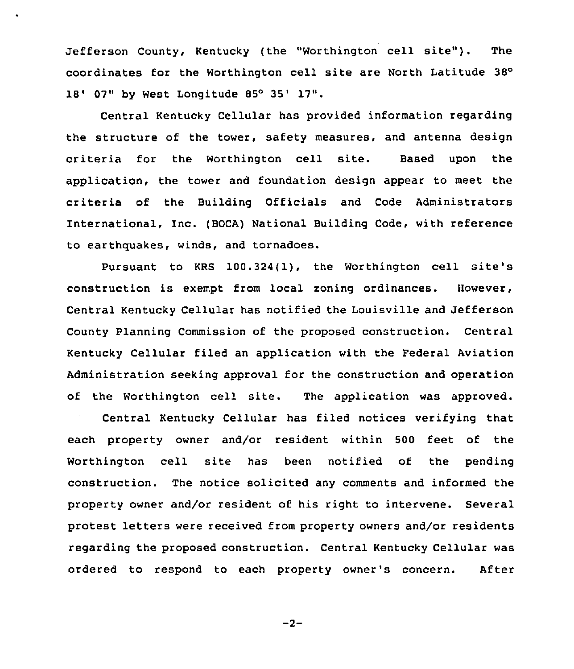Jefferson County, Kentucky (the "Worthington cell site"). The coordinates for the Worthington cell site are North Latitude 18' 07" by West Longitude 85° 35' 17".

Central Kentucky Cellular has provided information regarding the structure of the tower, safety measures, and antenna design criteria for the Worthington cell site. Based upon the application, the tower and foundation desiqn appear to meet the criteria of the Building Officials and Code Administrators International, Inc. (BOCA) National Building Code, with reference to earthquakes, winds, and tornadoes.

Pursuant to KRS 100.324(1), the Worthington cell site's construction is exempt from local zoning ordinances. However, Central Kentucky Cellular has notified the Louisville and Jefferson County Planning Commission of the proposed construction. Central Kentucky Cellular filed an application with the Federal Aviation Administration seekinq approval for the construction and operation of the Worthington cell site. The application was approved.

Central Kentucky Cellular has filed notices verifying that each property owner and/or resident within 500 feet of the Worthington cell site has been notified of the pendinq construction. The notice solicited any comments and informed the property owner and/or resident of his right to intervene. Several protest letters were received from property owners and/or residents regarding the proposed construction. Central Kentucky Cellular was ordered to respond to each property owner's concern. After

 $-2-$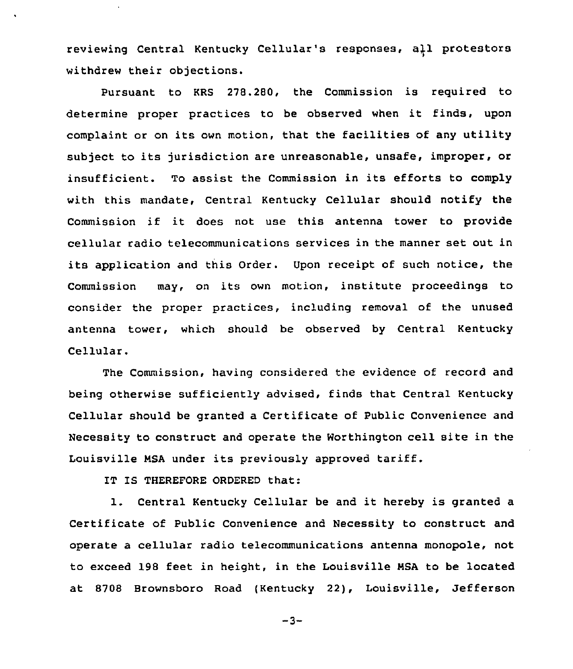reviewing Central Kentucky Cellular's responses, a)1 protestors withdrew their objections.

Pursuant to KRS 278.280, the Commission is required to determine proper practices to be observed when it finds, upon complaint or on its own motion, that the facilities of any utility subject to its jurisdiction are unreasonable, unsafe, improper, or insufficient. To assist the Commission in its efforts to comply with this mandate, Central Kentucky Cellular should notify the Commission if it does not use this antenna tower to provide cellular radio telecommunications services in the manner set out in its application and this Order. Upon receipt of such notice, the Commission may, on its own motion, institute proceedings to consider the proper practices, including removal of the unused antenna tower, which should be observed by Central Kentucky Cellular.

The Commission, having considered the evidence of record and being otherwise sufficiently advised, finds that Central Kentucky Cellular should be granted a Certificate of Public Convenience and Necessity to construct and operate the Worthington cell site in the Louisville NSA under its previously approved tariff.

IT IS THEREFORE ORDERED that:

1. Central Kentucky Cellular be and it hereby is granted <sup>a</sup> Certificate of Public Convenience and Necessity to construct and operate a cellular radio telecommunications antenna monopole, not to exceed 198 feet in height, in the Louisville NSA to be located at 8788 Brownsboro Road (Kentucky 22), Louisville, Jefferson

 $-3-$